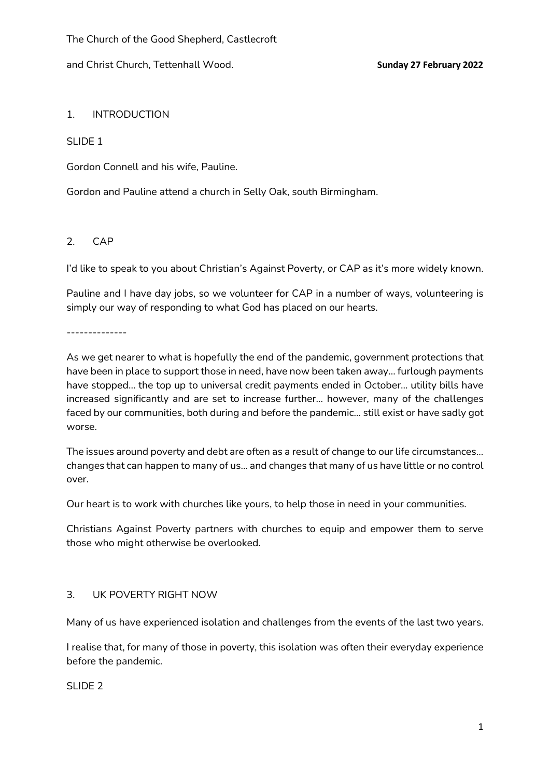and Christ Church, Tettenhall Wood. **Sunday 27 February 2022**

# 1. INTRODUCTION

## SLIDE 1

Gordon Connell and his wife, Pauline.

Gordon and Pauline attend a church in Selly Oak, south Birmingham.

# 2. CAP

I'd like to speak to you about Christian's Against Poverty, or CAP as it's more widely known.

Pauline and I have day jobs, so we volunteer for CAP in a number of ways, volunteering is simply our way of responding to what God has placed on our hearts.

--------------

As we get nearer to what is hopefully the end of the pandemic, government protections that have been in place to support those in need, have now been taken away… furlough payments have stopped… the top up to universal credit payments ended in October… utility bills have increased significantly and are set to increase further… however, many of the challenges faced by our communities, both during and before the pandemic… still exist or have sadly got worse.

The issues around poverty and debt are often as a result of change to our life circumstances… changes that can happen to many of us… and changes that many of us have little or no control over.

Our heart is to work with churches like yours, to help those in need in your communities.

Christians Against Poverty partners with churches to equip and empower them to serve those who might otherwise be overlooked.

# 3. UK POVERTY RIGHT NOW

Many of us have experienced isolation and challenges from the events of the last two years.

I realise that, for many of those in poverty, this isolation was often their everyday experience before the pandemic.

SLIDE 2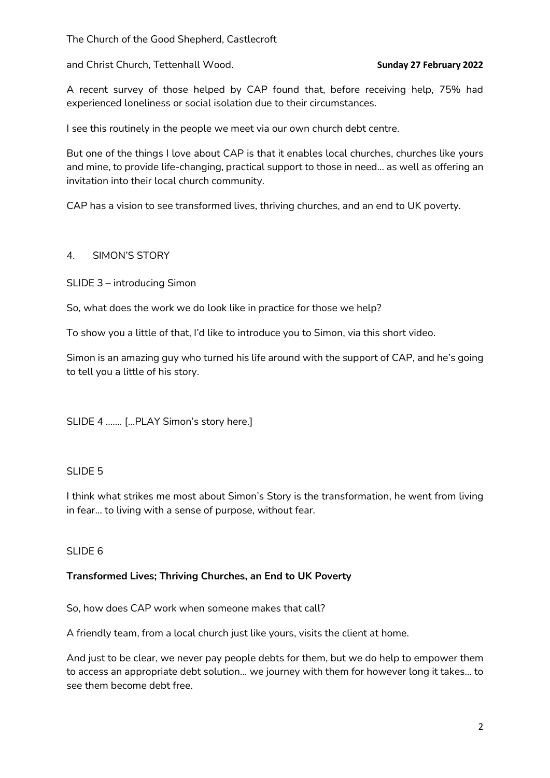The Church of the Good Shepherd, Castlecroft

and Christ Church, Tettenhall Wood. **Sunday 27 February 2022**

A recent survey of those helped by CAP found that, before receiving help, 75% had experienced loneliness or social isolation due to their circumstances.

I see this routinely in the people we meet via our own church debt centre.

But one of the things I love about CAP is that it enables local churches, churches like yours and mine, to provide life-changing, practical support to those in need… as well as offering an invitation into their local church community.

CAP has a vision to see transformed lives, thriving churches, and an end to UK poverty.

#### 4. SIMON'S STORY

SLIDE 3 – introducing Simon

So, what does the work we do look like in practice for those we help?

To show you a little of that, I'd like to introduce you to Simon, via this short video.

Simon is an amazing guy who turned his life around with the support of CAP, and he's going to tell you a little of his story.

SLIDE 4 ……. […PLAY Simon's story here.]

# SLIDE<sub>5</sub>

I think what strikes me most about Simon's Story is the transformation, he went from living in fear… to living with a sense of purpose, without fear.

#### SLIDE 6

# **Transformed Lives; Thriving Churches, an End to UK Poverty**

So, how does CAP work when someone makes that call?

A friendly team, from a local church just like yours, visits the client at home.

And just to be clear, we never pay people debts for them, but we do help to empower them to access an appropriate debt solution… we journey with them for however long it takes… to see them become debt free.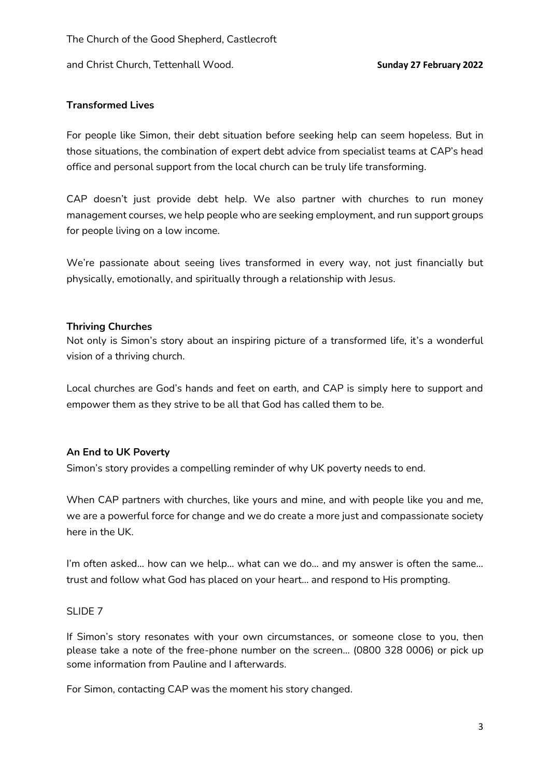and Christ Church, Tettenhall Wood. **Sunday 27 February 2022**

## **Transformed Lives**

For people like Simon, their debt situation before seeking help can seem hopeless. But in those situations, the combination of expert debt advice from specialist teams at CAP's head office and personal support from the local church can be truly life transforming.

CAP doesn't just provide debt help. We also partner with churches to run money management courses, we help people who are seeking employment, and run support groups for people living on a low income.

We're passionate about seeing lives transformed in every way, not just financially but physically, emotionally, and spiritually through a relationship with Jesus.

#### **Thriving Churches**

Not only is Simon's story about an inspiring picture of a transformed life, it's a wonderful vision of a thriving church.

Local churches are God's hands and feet on earth, and CAP is simply here to support and empower them as they strive to be all that God has called them to be.

# **An End to UK Poverty**

Simon's story provides a compelling reminder of why UK poverty needs to end.

When CAP partners with churches, like yours and mine, and with people like you and me, we are a powerful force for change and we do create a more just and compassionate society here in the UK.

I'm often asked… how can we help… what can we do… and my answer is often the same… trust and follow what God has placed on your heart… and respond to His prompting.

#### SLIDE 7

If Simon's story resonates with your own circumstances, or someone close to you, then please take a note of the free-phone number on the screen… (0800 328 0006) or pick up some information from Pauline and I afterwards.

For Simon, contacting CAP was the moment his story changed.